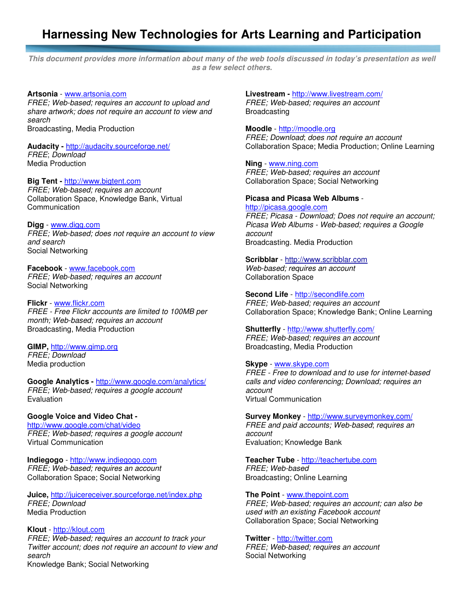# **Harnessing New Technologies for Arts Learning and Participation**

**This document provides more information about many of the web tools discussed in today's presentation as well as a few select others.** 

#### **Artsonia** - www.artsonia.com

FREE; Web-based; requires an account to upload and share artwork; does not require an account to view and search

Broadcasting, Media Production

#### **Audacity -** http://audacity.sourceforge.net/ FREE; Download

Media Production

# **Big Tent -** http://www.bigtent.com

FREE; Web-based; requires an account Collaboration Space, Knowledge Bank, Virtual **Communication** 

# **Digg** - www.digg.com

FREE; Web-based; does not require an account to view and search Social Networking

#### **Facebook** - www.facebook.com

FREE; Web-based; requires an account Social Networking

#### **Flickr** - www.flickr.com

FREE - Free Flickr accounts are limited to 100MB per month; Web-based; requires an account Broadcasting, Media Production

#### **GIMP,** http://www.gimp.org

FREE; Download Media production

# **Google Analytics -** http://www.google.com/analytics/

FREE; Web-based; requires a google account Evaluation

# **Google Voice and Video Chat -**

http://www.google.com/chat/video FREE; Web-based; requires a google account Virtual Communication

**Indiegogo** - http://www.indiegogo.com FREE; Web-based; requires an account Collaboration Space; Social Networking

**Juice,** http://juicereceiver.sourceforge.net/index.php FREE; Download Media Production

# **Klout** - http://klout.com

FREE; Web-based; requires an account to track your Twitter account; does not require an account to view and search

Knowledge Bank; Social Networking

**Livestream -** http://www.livestream.com/ FREE; Web-based; requires an account Broadcasting

# **Moodle** - http://moodle.org

FREE; Download; does not require an account Collaboration Space; Media Production; Online Learning

# **Ning** - www.ning.com

FREE; Web-based; requires an account Collaboration Space; Social Networking

#### **Picasa and Picasa Web Albums** -

http://picasa.google.com FREE; Picasa - Download; Does not require an account; Picasa Web Albums - Web-based; requires a Google account Broadcasting. Media Production

#### **Scribblar** - http://www.scribblar.com

Web-based; requires an account Collaboration Space

**Second Life** - http://secondlife.com FREE; Web-based; requires an account Collaboration Space; Knowledge Bank; Online Learning

# **Shutterfly** - http://www.shutterfly.com/

FREE; Web-based; requires an account Broadcasting, Media Production

#### **Skype** - www.skype.com

FREE - Free to download and to use for internet-based calls and video conferencing; Download; requires an account Virtual Communication

#### **Survey Monkey** - http://www.surveymonkey.com/

FREE and paid accounts; Web-based; requires an account Evaluation; Knowledge Bank

### **Teacher Tube** - http://teachertube.com FREE; Web-based Broadcasting; Online Learning

#### **The Point** - www.thepoint.com

FREE; Web-based; requires an account; can also be used with an existing Facebook account Collaboration Space; Social Networking

#### **Twitter** - http://twitter.com

FREE; Web-based; requires an account Social Networking